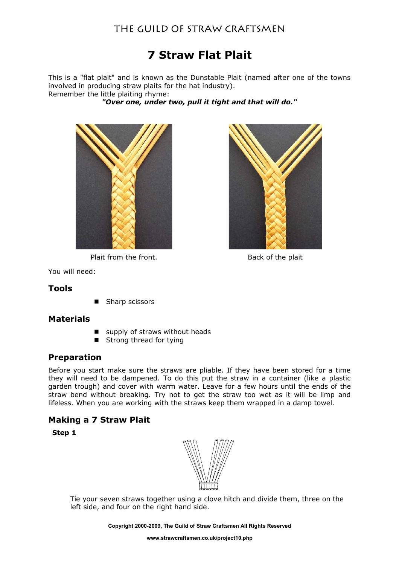# The Guild of Straw Craftsmen

# **7 Straw Flat Plait**

This is a "flat plait" and is known as the Dunstable Plait (named after one of the towns involved in producing straw plaits for the hat industry). Remember the little plaiting rhyme:

*"Over one, under two, pull it tight and that will do."*



Plait from the front. Back of the plait



You will need:

#### **Tools**

■ Sharp scissors

#### **Materials**

- supply of straws without heads
- Strong thread for tying

## **Preparation**

Before you start make sure the straws are pliable. If they have been stored for a time they will need to be dampened. To do this put the straw in a container (like a plastic garden trough) and cover with warm water. Leave for a few hours until the ends of the straw bend without breaking. Try not to get the straw too wet as it will be limp and lifeless. When you are working with the straws keep them wrapped in a damp towel.

## **Making a 7 Straw Plait**

**Step 1**



Tie your seven straws together using a clove hitch and divide them, three on the left side, and four on the right hand side.

**Copyright 2000-2009, The Guild of Straw Craftsmen All Rights Reserved**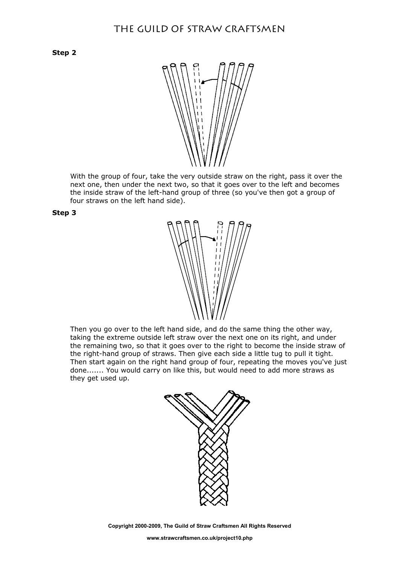**Step 2**



With the group of four, take the very outside straw on the right, pass it over the next one, then under the next two, so that it goes over to the left and becomes the inside straw of the left-hand group of three (so you've then got a group of four straws on the left hand side).





Then you go over to the left hand side, and do the same thing the other way, taking the extreme outside left straw over the next one on its right, and under the remaining two, so that it goes over to the right to become the inside straw of the right-hand group of straws. Then give each side a little tug to pull it tight. Then start again on the right hand group of four, repeating the moves you've just done....... You would carry on like this, but would need to add more straws as they get used up.



**Copyright 2000-2009, The Guild of Straw Craftsmen All Rights Reserved**